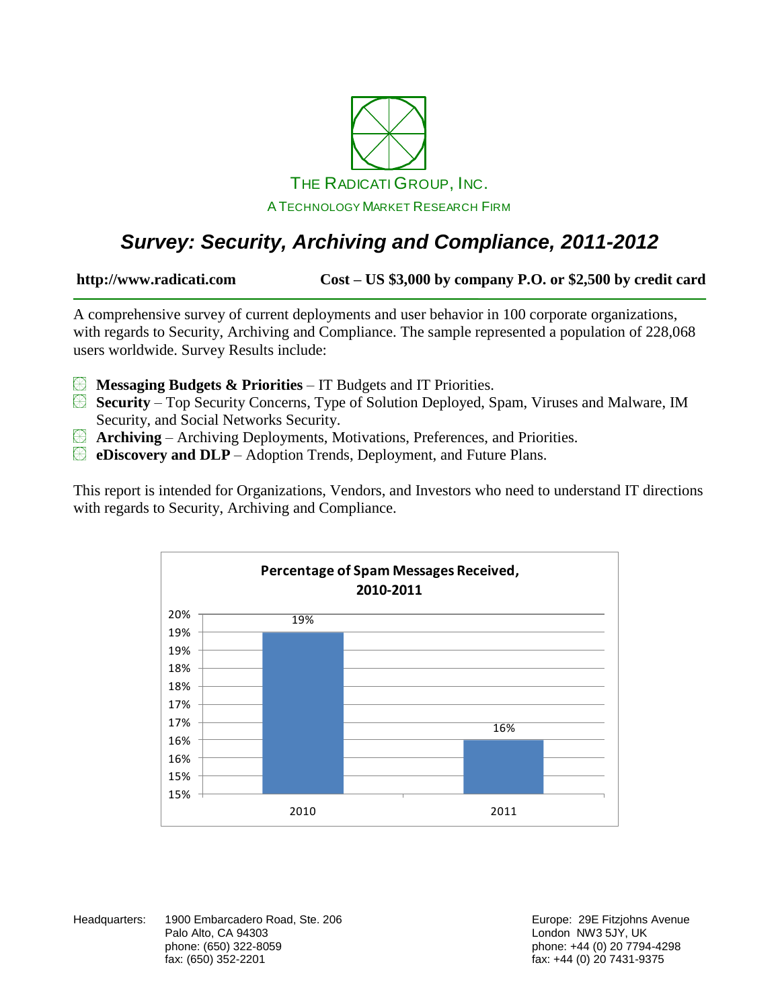

# *Survey: Security, Archiving and Compliance, 2011-2012*

**http://www.radicati.com Cost – US \$3,000 by company P.O. or \$2,500 by credit card**

A comprehensive survey of current deployments and user behavior in 100 corporate organizations, with regards to Security, Archiving and Compliance. The sample represented a population of 228,068 users worldwide. Survey Results include:

- **Messaging Budgets & Priorities** IT Budgets and IT Priorities.  $\bigcircledast$
- **Security** Top Security Concerns, Type of Solution Deployed, Spam, Viruses and Malware, IM Security, and Social Networks Security.
- **Archiving** Archiving Deployments, Motivations, Preferences, and Priorities.
- **EDiscovery and DLP** Adoption Trends, Deployment, and Future Plans.

This report is intended for Organizations, Vendors, and Investors who need to understand IT directions with regards to Security, Archiving and Compliance.



Headquarters: 1900 Embarcadero Road, Ste. 206 **Europe: 29 Europe: 29E Fitzjohns Avenue** Palo Alto, CA 94303 **Discretion CA 1988** London NW3 5JY, UK phone: (650) 322-8059 phone: +44 (0) 20 7794-4298

fax: +44 (0) 20 7431-9375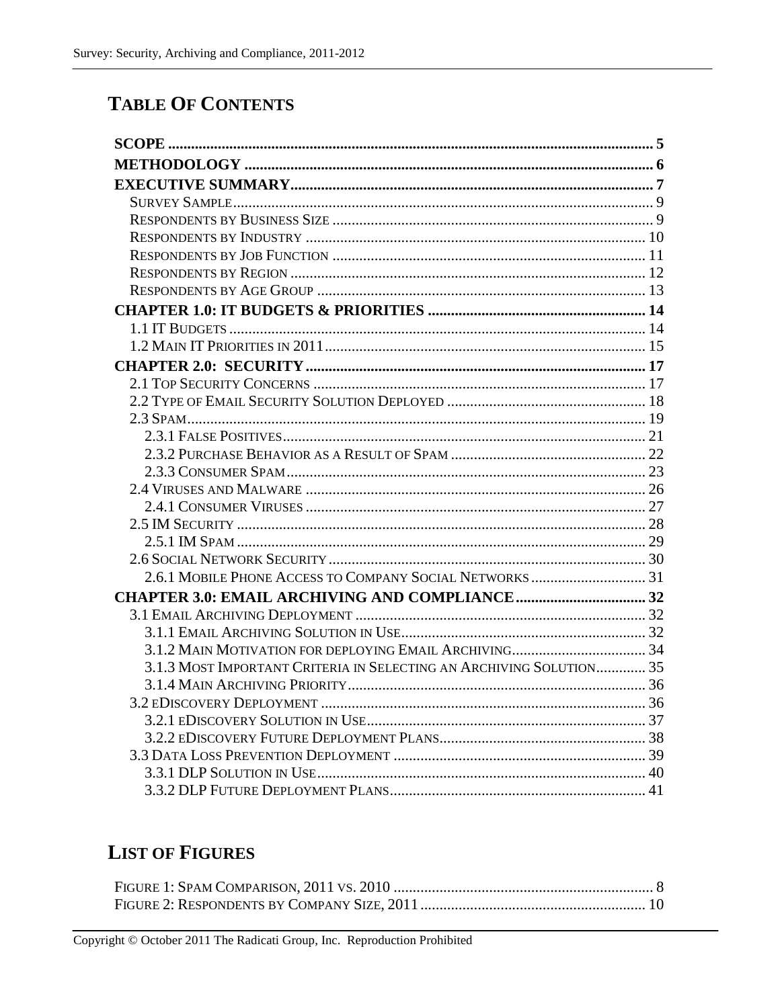### **TABLE OF CONTENTS**

| 3.1.3 MOST IMPORTANT CRITERIA IN SELECTING AN ARCHIVING SOLUTION 35 |  |
|---------------------------------------------------------------------|--|
|                                                                     |  |
|                                                                     |  |
|                                                                     |  |
|                                                                     |  |
|                                                                     |  |
|                                                                     |  |
|                                                                     |  |

# **LIST OF FIGURES**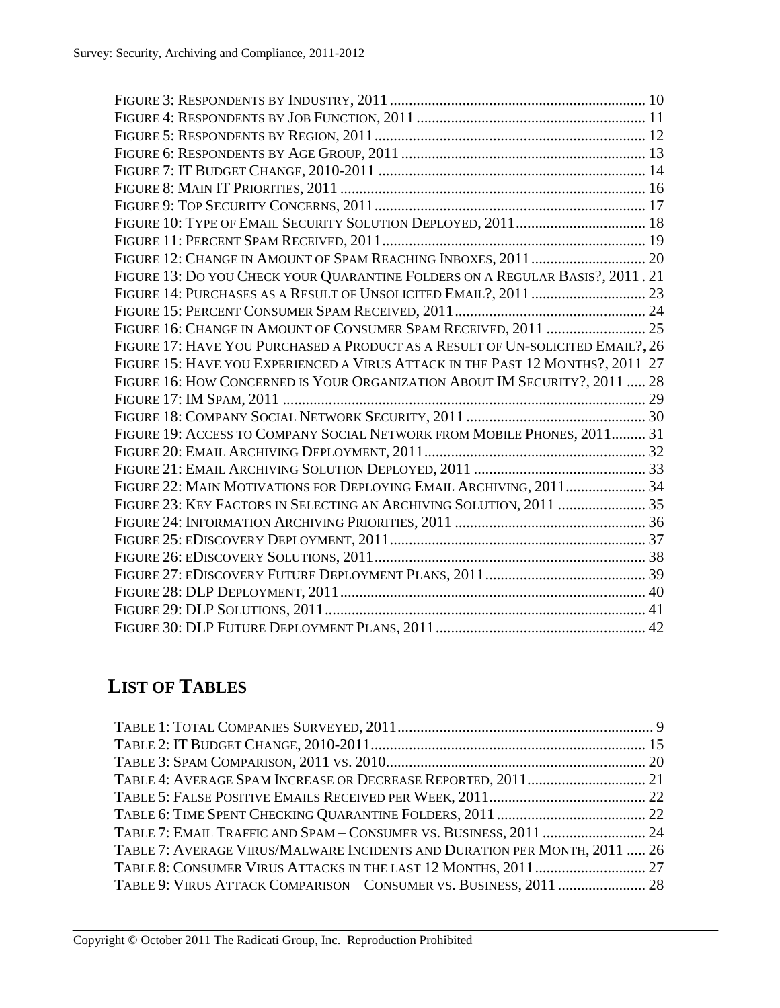| FIGURE 13: DO YOU CHECK YOUR QUARANTINE FOLDERS ON A REGULAR BASIS?, 2011. 21  |  |
|--------------------------------------------------------------------------------|--|
|                                                                                |  |
|                                                                                |  |
| FIGURE 16: CHANGE IN AMOUNT OF CONSUMER SPAM RECEIVED, 2011  25                |  |
| FIGURE 17: HAVE YOU PURCHASED A PRODUCT AS A RESULT OF UN-SOLICITED EMAIL?, 26 |  |
| FIGURE 15: HAVE YOU EXPERIENCED A VIRUS ATTACK IN THE PAST 12 MONTHS?, 2011 27 |  |
| FIGURE 16: HOW CONCERNED IS YOUR ORGANIZATION ABOUT IM SECURITY?, 2011  28     |  |
|                                                                                |  |
|                                                                                |  |
| FIGURE 19: ACCESS TO COMPANY SOCIAL NETWORK FROM MOBILE PHONES, 2011 31        |  |
|                                                                                |  |
|                                                                                |  |
| FIGURE 22: MAIN MOTIVATIONS FOR DEPLOYING EMAIL ARCHIVING, 2011 34             |  |
| FIGURE 23: KEY FACTORS IN SELECTING AN ARCHIVING SOLUTION, 2011  35            |  |
|                                                                                |  |
|                                                                                |  |
|                                                                                |  |
|                                                                                |  |
|                                                                                |  |
|                                                                                |  |
|                                                                                |  |
|                                                                                |  |

# **LIST OF TABLES**

| TABLE 7: AVERAGE VIRUS/MALWARE INCIDENTS AND DURATION PER MONTH, 2011  26 |  |
|---------------------------------------------------------------------------|--|
|                                                                           |  |
| TABLE 9: VIRUS ATTACK COMPARISON - CONSUMER VS. BUSINESS, 2011  28        |  |